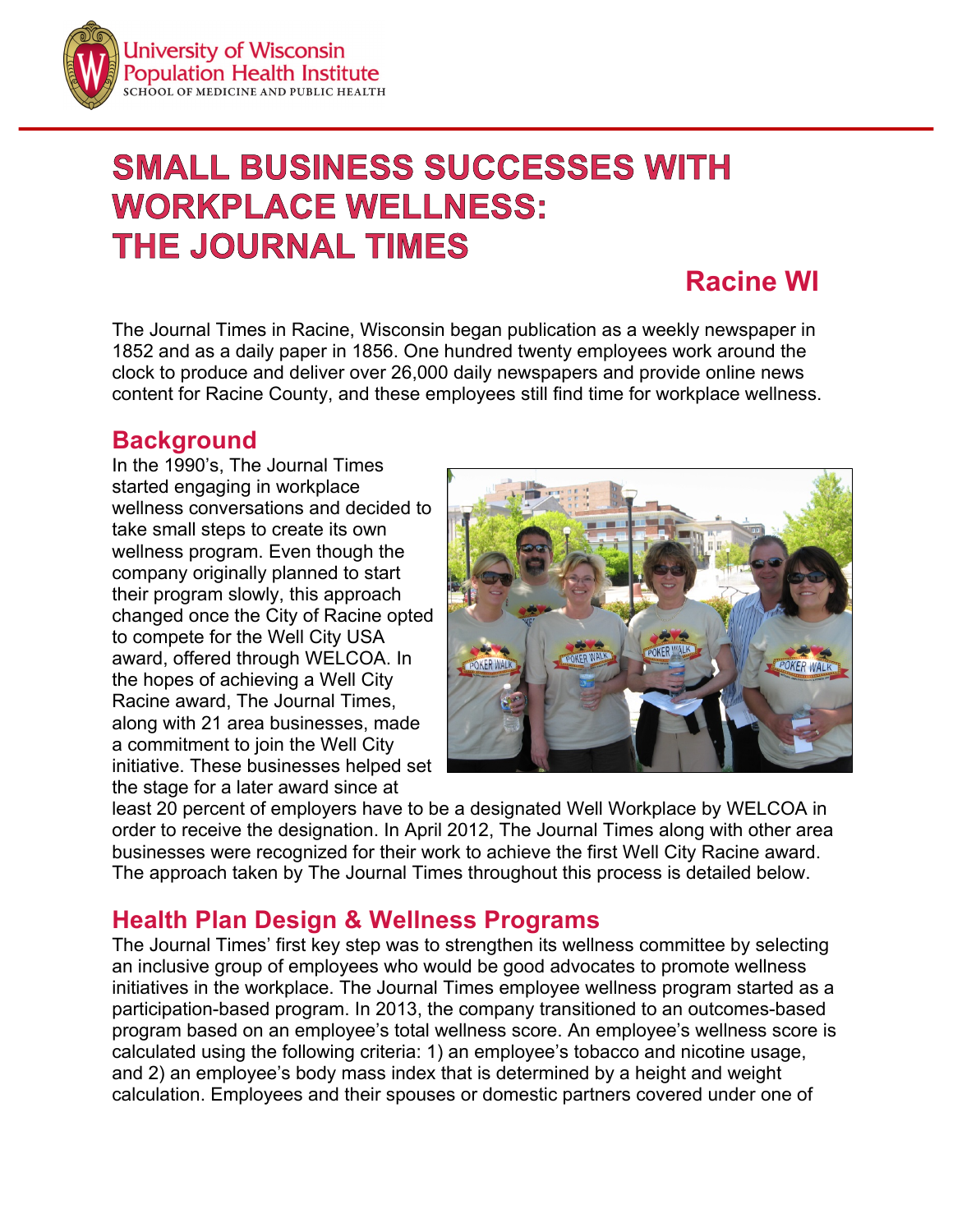

# **SMALL BUSINESS SUCCESSES WITH WORKPLACE WELLNESS: THE JOURNAL TIMES**

## **Racine WI**

The Journal Times in Racine, Wisconsin began publication as a weekly newspaper in 1852 and as a daily paper in 1856. One hundred twenty employees work around the clock to produce and deliver over 26,000 daily newspapers and provide online news content for Racine County, and these employees still find time for workplace wellness.

#### **Background**

In the 1990's, The Journal Times started engaging in workplace wellness conversations and decided to take small steps to create its own wellness program. Even though the company originally planned to start their program slowly, this approach changed once the City of Racine opted to compete for the Well City USA award, offered through WELCOA. In the hopes of achieving a Well City Racine award, The Journal Times, along with 21 area businesses, made a commitment to join the Well City initiative. These businesses helped set the stage for a later award since at



least 20 percent of employers have to be a designated Well Workplace by WELCOA in order to receive the designation. In April 2012, The Journal Times along with other area businesses were recognized for their work to achieve the first Well City Racine award. The approach taken by The Journal Times throughout this process is detailed below.

## **Health Plan Design & Wellness Programs**

The Journal Times' first key step was to strengthen its wellness committee by selecting an inclusive group of employees who would be good advocates to promote wellness initiatives in the workplace. The Journal Times employee wellness program started as a participation-based program. In 2013, the company transitioned to an outcomes-based program based on an employee's total wellness score. An employee's wellness score is calculated using the following criteria: 1) an employee's tobacco and nicotine usage, and 2) an employee's body mass index that is determined by a height and weight calculation. Employees and their spouses or domestic partners covered under one of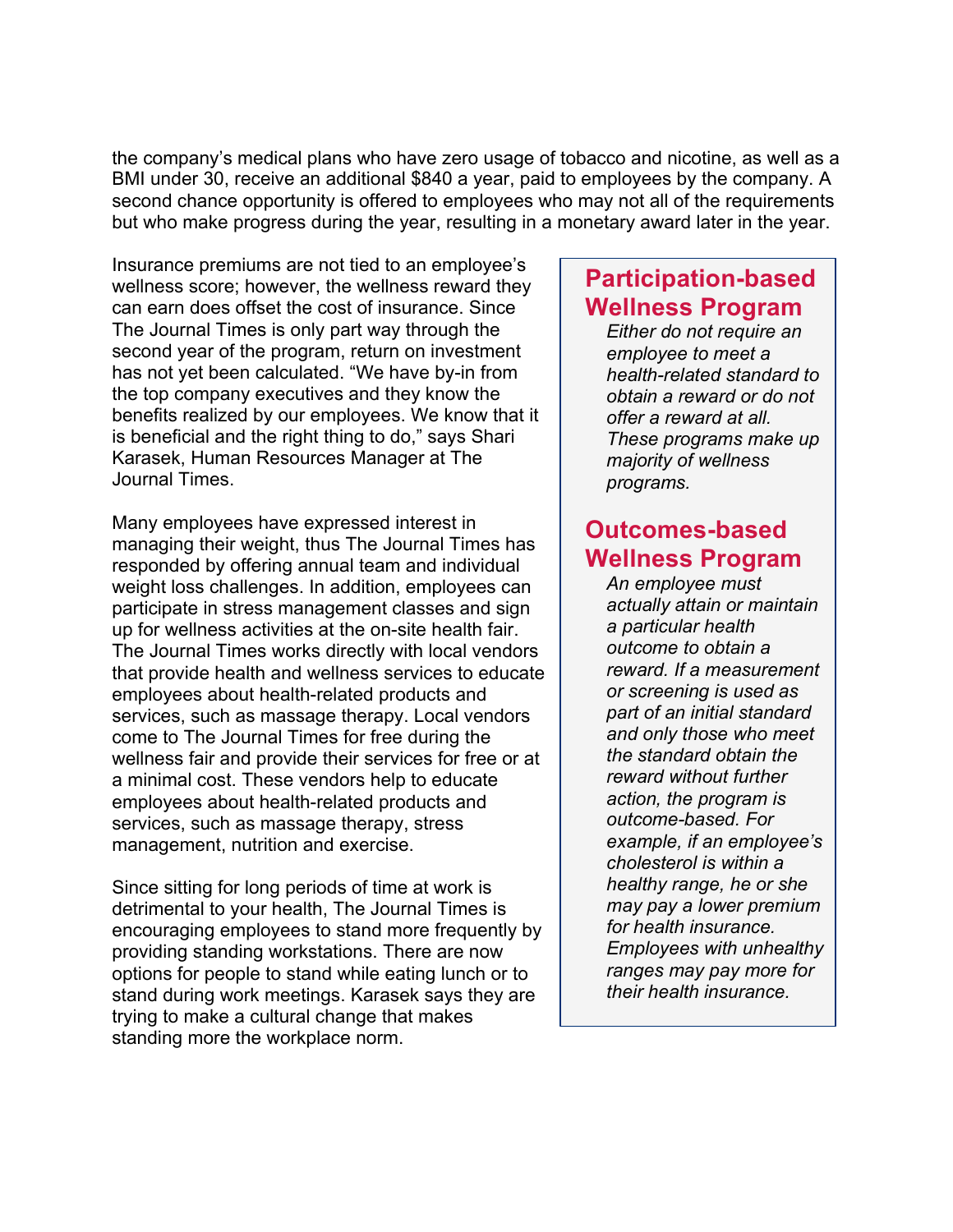the company's medical plans who have zero usage of tobacco and nicotine, as well as a BMI under 30, receive an additional \$840 a year, paid to employees by the company. A second chance opportunity is offered to employees who may not all of the requirements but who make progress during the year, resulting in a monetary award later in the year.

Insurance premiums are not tied to an employee's wellness score; however, the wellness reward they can earn does offset the cost of insurance. Since The Journal Times is only part way through the second year of the program, return on investment has not yet been calculated. "We have by-in from the top company executives and they know the benefits realized by our employees. We know that it is beneficial and the right thing to do," says Shari Karasek, Human Resources Manager at The Journal Times.

Many employees have expressed interest in managing their weight, thus The Journal Times has responded by offering annual team and individual weight loss challenges. In addition, employees can participate in stress management classes and sign up for wellness activities at the on-site health fair. The Journal Times works directly with local vendors that provide health and wellness services to educate employees about health-related products and services, such as massage therapy. Local vendors come to The Journal Times for free during the wellness fair and provide their services for free or at a minimal cost. These vendors help to educate employees about health-related products and services, such as massage therapy, stress management, nutrition and exercise.

Since sitting for long periods of time at work is detrimental to your health, The Journal Times is encouraging employees to stand more frequently by providing standing workstations. There are now options for people to stand while eating lunch or to stand during work meetings. Karasek says they are trying to make a cultural change that makes standing more the workplace norm.

#### **Participation-based Wellness Program**

*Either do not require an employee to meet a health-related standard to obtain a reward or do not offer a reward at all. These programs make up majority of wellness programs.*

#### **Outcomes-based Wellness Program**

*An employee must actually attain or maintain a particular health outcome to obtain a reward. If a measurement or screening is used as part of an initial standard and only those who meet the standard obtain the reward without further action, the program is outcome-based. For example, if an employee's cholesterol is within a healthy range, he or she may pay a lower premium for health insurance. Employees with unhealthy ranges may pay more for their health insurance.*